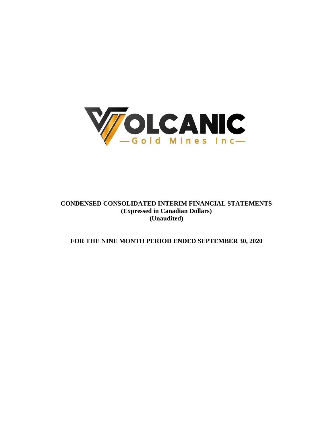

# **CONDENSED CONSOLIDATED INTERIM FINANCIAL STATEMENTS (Expressed in Canadian Dollars) (Unaudited)**

# **FOR THE NINE MONTH PERIOD ENDED SEPTEMBER 30, 2020**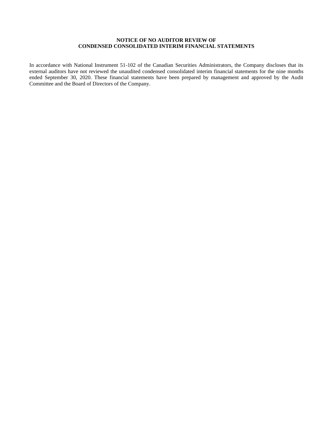# **NOTICE OF NO AUDITOR REVIEW OF CONDENSED CONSOLIDATED INTERIM FINANCIAL STATEMENTS**

In accordance with National Instrument 51-102 of the Canadian Securities Administrators, the Company discloses that its external auditors have not reviewed the unaudited condensed consolidated interim financial statements for the nine months ended September 30, 2020. These financial statements have been prepared by management and approved by the Audit Committee and the Board of Directors of the Company.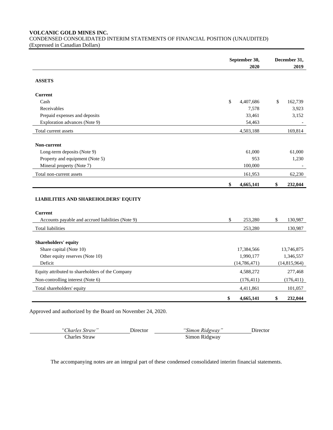**VOLCANIC GOLD MINES INC.**

CONDENSED CONSOLIDATED INTERIM STATEMENTS OF FINANCIAL POSITION (UNAUDITED) (Expressed in Canadian Dollars)

|                                                                                                                                                                                                                                                                                                                                                             | September 30,   | December 31,   |
|-------------------------------------------------------------------------------------------------------------------------------------------------------------------------------------------------------------------------------------------------------------------------------------------------------------------------------------------------------------|-----------------|----------------|
|                                                                                                                                                                                                                                                                                                                                                             | 2020            | 2019           |
| <b>ASSETS</b><br>Cash<br>Receivables<br>Prepaid expenses and deposits<br>Exploration advances (Note 9)<br>Long-term deposits (Note 9)<br>Property and equipment (Note 5)<br>Mineral property (Note 7)<br>Accounts payable and accrued liabilities (Note 9)<br>Shareholders' equity<br>Share capital (Note 10)<br>Other equity reserves (Note 10)<br>Deficit |                 |                |
| <b>Current</b>                                                                                                                                                                                                                                                                                                                                              |                 |                |
|                                                                                                                                                                                                                                                                                                                                                             | \$<br>4,407,686 | \$<br>162,739  |
|                                                                                                                                                                                                                                                                                                                                                             | 7,578           | 3,923          |
|                                                                                                                                                                                                                                                                                                                                                             | 33,461          | 3,152          |
|                                                                                                                                                                                                                                                                                                                                                             | 54,463          |                |
| Total current assets                                                                                                                                                                                                                                                                                                                                        | 4,503,188       | 169,814        |
| Non-current                                                                                                                                                                                                                                                                                                                                                 |                 |                |
|                                                                                                                                                                                                                                                                                                                                                             | 61,000          | 61,000         |
|                                                                                                                                                                                                                                                                                                                                                             | 953             | 1,230          |
|                                                                                                                                                                                                                                                                                                                                                             | 100,000         |                |
| Total non-current assets                                                                                                                                                                                                                                                                                                                                    | 161,953         | 62,230         |
|                                                                                                                                                                                                                                                                                                                                                             | \$<br>4,665,141 | 232,044<br>\$  |
| <b>LIABILITIES AND SHAREHOLDERS' EQUITY</b>                                                                                                                                                                                                                                                                                                                 |                 |                |
| <b>Current</b>                                                                                                                                                                                                                                                                                                                                              |                 |                |
|                                                                                                                                                                                                                                                                                                                                                             | \$<br>253,280   | \$<br>130,987  |
| <b>Total liabilities</b>                                                                                                                                                                                                                                                                                                                                    | 253,280         | 130,987        |
|                                                                                                                                                                                                                                                                                                                                                             |                 |                |
|                                                                                                                                                                                                                                                                                                                                                             | 17,384,566      | 13,746,875     |
|                                                                                                                                                                                                                                                                                                                                                             | 1,990,177       | 1,346,557      |
|                                                                                                                                                                                                                                                                                                                                                             | (14, 786, 471)  | (14, 815, 964) |
| Equity attributed to shareholders of the Company                                                                                                                                                                                                                                                                                                            | 4,588,272       | 277,468        |
| Non-controlling interest (Note 6)                                                                                                                                                                                                                                                                                                                           | (176, 411)      | (176, 411)     |
| Total shareholders' equity                                                                                                                                                                                                                                                                                                                                  | 4,411,861       | 101,057        |
|                                                                                                                                                                                                                                                                                                                                                             | \$<br>4,665,141 | \$<br>232,044  |

Approved and authorized by the Board on November 24, 2020.

| "Charles Straw" | Jirector | "Simon Ridgway" | Jirector |
|-----------------|----------|-----------------|----------|
| Charles Straw   |          | Simon Ridgway   |          |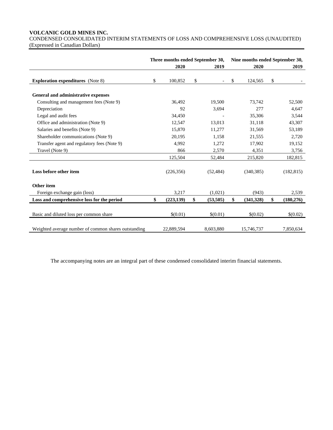# **VOLCANIC GOLD MINES INC.**

CONDENSED CONSOLIDATED INTERIM STATEMENTS OF LOSS AND COMPREHENSIVE LOSS (UNAUDITED) (Expressed in Canadian Dollars)

|                                                      | Three months ended September 30, |    |                          | Nine months ended September 30, |            |    |            |
|------------------------------------------------------|----------------------------------|----|--------------------------|---------------------------------|------------|----|------------|
|                                                      | 2020                             |    | 2019                     |                                 | 2020       |    | 2019       |
| <b>Exploration expenditures</b> (Note 8)             | \$<br>100,852                    | \$ | $\overline{\phantom{0}}$ | \$                              | 124,565    | \$ |            |
| General and administrative expenses                  |                                  |    |                          |                                 |            |    |            |
| Consulting and management fees (Note 9)              | 36,492                           |    | 19,500                   |                                 | 73,742     |    | 52,500     |
| Depreciation                                         | 92                               |    | 3,694                    |                                 | 277        |    | 4,647      |
| Legal and audit fees                                 | 34,450                           |    |                          |                                 | 35,306     |    | 3,544      |
| Office and administration (Note 9)                   | 12,547                           |    | 13,013                   |                                 | 31,118     |    | 43,307     |
| Salaries and benefits (Note 9)                       | 15,870                           |    | 11,277                   |                                 | 31,569     |    | 53,189     |
| Shareholder communications (Note 9)                  | 20,195                           |    | 1,158                    |                                 | 21,555     |    | 2,720      |
| Transfer agent and regulatory fees (Note 9)          | 4,992                            |    | 1,272                    |                                 | 17,902     |    | 19,152     |
| Travel (Note 9)                                      | 866                              |    | 2,570                    |                                 | 4,351      |    | 3,756      |
|                                                      | 125,504                          |    | 52,484                   |                                 | 215,820    |    | 182,815    |
| Loss before other item                               | (226, 356)                       |    | (52, 484)                |                                 | (340, 385) |    | (182, 815) |
| Other item                                           |                                  |    |                          |                                 |            |    |            |
| Foreign exchange gain (loss)                         | 3,217                            |    | (1,021)                  |                                 | (943)      |    | 2,539      |
| Loss and comprehensive loss for the period           | \$<br>(223, 139)                 | \$ | (53, 505)                | \$                              | (341,328)  | \$ | (180, 276) |
| Basic and diluted loss per common share              | \$(0.01)                         |    | \$(0.01)                 |                                 | \$(0.02)   |    | \$(0.02)   |
| Weighted average number of common shares outstanding | 22,889,594                       |    | 8,603,880                |                                 | 15,746,737 |    | 7,850,634  |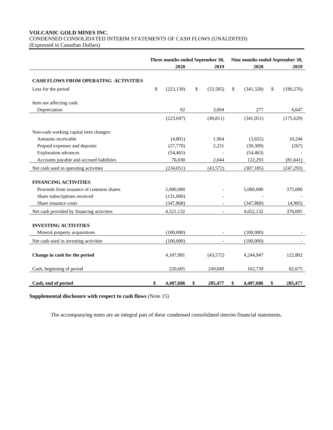# **VOLCANIC GOLD MINES INC.** CONDENSED CONSOLIDATED INTERIM STATEMENTS OF CASH FLOWS (UNAUDITED)

(Expressed in Canadian Dollars)

|                                           | Three months ended September 30,<br>2020<br>2019 |    |                          | Nine months ended September 30,<br>2020<br>2019 |            |    |            |
|-------------------------------------------|--------------------------------------------------|----|--------------------------|-------------------------------------------------|------------|----|------------|
| CASH FLOWS FROM OPERATING ACTIVITIES      |                                                  |    |                          |                                                 |            |    |            |
| Loss for the period                       | \$<br>(223, 139)                                 | \$ | (53,505)                 | \$                                              | (341,328)  | \$ | (180, 276) |
| Item not affecting cash:                  |                                                  |    |                          |                                                 |            |    |            |
| Depreciation                              | 92                                               |    | 3,694                    |                                                 | 277        |    | 4,647      |
|                                           | (223, 047)                                       |    | (49, 811)                |                                                 | (341, 051) |    | (175, 629) |
| Non-cash working capital item changes:    |                                                  |    |                          |                                                 |            |    |            |
| Amounts receivable                        | (4,801)                                          |    | 1,964                    |                                                 | (3,655)    |    | 10,244     |
| Prepaid expenses and deposits             | (27,770)                                         |    | 2,231                    |                                                 | (30, 309)  |    | (267)      |
| <b>Exploration</b> advances               | (54, 463)                                        |    |                          |                                                 | (54, 463)  |    |            |
| Accounts payable and accrued liabilities  | 76,030                                           |    | 2,044                    |                                                 | 122,293    |    | (81, 641)  |
| Net cash used in operating activities     | (234, 051)                                       |    | (43,572)                 |                                                 | (307, 185) |    | (247, 293) |
| <b>FINANCING ACTIVITIES</b>               |                                                  |    |                          |                                                 |            |    |            |
| Proceeds from issuance of common shares   | 5,000,000                                        |    |                          |                                                 | 5,000,000  |    | 375,000    |
| Share subscriptions received              | (131,000)                                        |    |                          |                                                 |            |    |            |
| Share issuance costs                      | (347, 868)                                       |    |                          |                                                 | (347, 868) |    | (4,905)    |
| Net cash provided by financing activities | 4,521,132                                        |    |                          |                                                 | 4,652,132  |    | 370,095    |
| <b>INVESTING ACTIVITIES</b>               |                                                  |    |                          |                                                 |            |    |            |
| Mineral property acquisitions             | (100,000)                                        |    |                          |                                                 | (100,000)  |    |            |
| Net cash used in investing activities     | (100,000)                                        |    | $\overline{\phantom{a}}$ |                                                 | (100,000)  |    |            |
| Change in cash for the period             | 4,187,081                                        |    | (43,572)                 |                                                 | 4,244,947  |    | 122,802    |
| Cash, beginning of period                 | 220,605                                          |    | 249,049                  |                                                 | 162,739    |    | 82,675     |
| Cash, end of period                       | \$<br>4,407,686                                  | \$ | 205,477                  | \$                                              | 4,407,686  | \$ | 205,477    |

**Supplemental disclosure with respect to cash flows** (Note 15)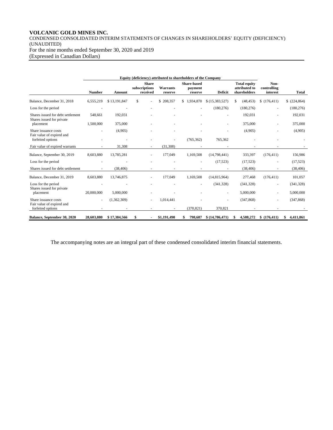# **VOLCANIC GOLD MINES INC.**

CONDENSED CONSOLIDATED INTERIM STATEMENTS OF CHANGES IN SHAREHOLDERS' EQUITY (DEFICIENCY) (UNAUDITED) For the nine months ended September 30, 2020 and 2019 (Expressed in Canadian Dollars)

|                                                                | <b>Number</b>  | Amount       | <b>Share</b><br>subscriptions<br>received | Warrants<br>reserve | <b>Share-based</b><br>payment<br>reserve | <b>Deficit</b> | <b>Total equity</b><br>attributed to<br>shareholders | Non-<br>controlling<br>interest | <b>Total</b>     |
|----------------------------------------------------------------|----------------|--------------|-------------------------------------------|---------------------|------------------------------------------|----------------|------------------------------------------------------|---------------------------------|------------------|
| Balance, December 31, 2018                                     | 6,555,219      | \$13,191,847 | \$                                        | \$208,357           | \$1,934,870                              | \$(15,383,527) | (48.453)<br>S                                        | \$(176, 411)                    | $$$ $(224, 864)$ |
| Loss for the period                                            |                |              |                                           |                     |                                          | (180, 276)     | (180, 276)                                           |                                 | (180, 276)       |
| Shares issued for debt settlement<br>Shares issued for private | 548,661        | 192,031      |                                           |                     |                                          |                | 192,031                                              |                                 | 192,031          |
| placement                                                      | 1,500,000      | 375,000      |                                           |                     |                                          |                | 375,000                                              |                                 | 375,000          |
| Share issuance costs                                           | ٠              | (4,905)      |                                           |                     |                                          |                | (4,905)                                              |                                 | (4,905)          |
| Fair value of expired and<br>forfeited options                 |                |              |                                           |                     | (765, 362)                               | 765,362        |                                                      |                                 |                  |
| Fair value of expired warrants                                 |                | 31.308       |                                           | (31, 308)           |                                          |                |                                                      |                                 |                  |
| Balance, September 30, 2019                                    | 8,603,880      | 13,785,281   |                                           | 177,049             | 1,169,508                                | (14,798,441)   | 333,397                                              | (176, 411)                      | 156,986          |
| Loss for the period                                            |                |              |                                           |                     |                                          | (17,523)       | (17, 523)                                            |                                 | (17, 523)        |
| Shares issued for debt settlement                              |                | (38, 406)    |                                           |                     |                                          |                | (38, 406)                                            |                                 | (38, 406)        |
| Balance, December 31, 2019                                     | 8,603,880      | 13,746,875   |                                           | 177,049             | 1,169,508                                | (14,815,964)   | 277,468                                              | (176, 411)                      | 101,057          |
| Loss for the period<br>Shares issued for private               |                |              |                                           |                     |                                          | (341, 328)     | (341, 328)                                           |                                 | (341, 328)       |
| placement                                                      | 20,000,000     | 5,000,000    |                                           |                     |                                          |                | 5,000,000                                            |                                 | 5,000,000        |
| Share issuance costs<br>Fair value of expired and              | $\blacksquare$ | (1,362,309)  |                                           | 1,014,441           |                                          |                | (347, 868)                                           |                                 | (347, 868)       |
| forfeited options                                              |                |              |                                           |                     | (370.821)                                | 370,821        |                                                      |                                 |                  |
| <b>Balance, September 30, 2020</b>                             | 28,603,880     | \$17,384,566 | \$                                        | \$1,191,490         | 798,687<br>\$                            | \$(14,786,471) | 4,588,272<br>\$                                      | \$(176, 411)                    | \$4,411,861      |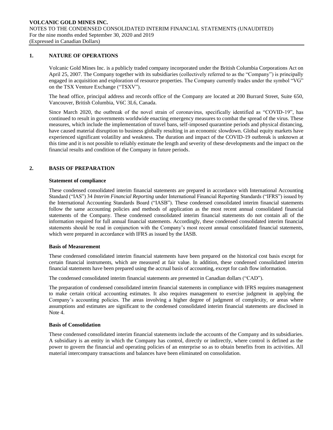#### **1. NATURE OF OPERATIONS**

Volcanic Gold Mines Inc. is a publicly traded company incorporated under the British Columbia Corporations Act on April 25, 2007. The Company together with its subsidiaries (collectively referred to as the "Company") is principally engaged in acquisition and exploration of resource properties. The Company currently trades under the symbol "VG" on the TSX Venture Exchange ("TSXV").

The head office, principal address and records office of the Company are located at 200 Burrard Street, Suite 650, Vancouver, British Columbia, V6C 3L6, Canada.

Since March 2020, the outbreak of the novel strain of coronavirus, specifically identified as "COVID-19", has continued to result in governments worldwide enacting emergency measures to combat the spread of the virus. These measures, which include the implementation of travel bans, self-imposed quarantine periods and physical distancing, have caused material disruption to business globally resulting in an economic slowdown. Global equity markets have experienced significant volatility and weakness. The duration and impact of the COVID-19 outbreak is unknown at this time and it is not possible to reliably estimate the length and severity of these developments and the impact on the financial results and condition of the Company in future periods.

# **2. BASIS OF PREPARATION**

## **Statement of compliance**

These condensed consolidated interim financial statements are prepared in accordance with International Accounting Standard ("IAS") 34 *Interim Financial Reporting* under International Financial Reporting Standards ("IFRS") issued by the International Accounting Standards Board ("IASB"). These condensed consolidated interim financial statements follow the same accounting policies and methods of application as the most recent annual consolidated financial statements of the Company. These condensed consolidated interim financial statements do not contain all of the information required for full annual financial statements. Accordingly, these condensed consolidated interim financial statements should be read in conjunction with the Company's most recent annual consolidated financial statements, which were prepared in accordance with IFRS as issued by the IASB.

#### **Basis of Measurement**

These condensed consolidated interim financial statements have been prepared on the historical cost basis except for certain financial instruments, which are measured at fair value. In addition, these condensed consolidated interim financial statements have been prepared using the accrual basis of accounting, except for cash flow information.

The condensed consolidated interim financial statements are presented in Canadian dollars ("CAD").

The preparation of condensed consolidated interim financial statements in compliance with IFRS requires management to make certain critical accounting estimates. It also requires management to exercise judgment in applying the Company's accounting policies. The areas involving a higher degree of judgment of complexity, or areas where assumptions and estimates are significant to the condensed consolidated interim financial statements are disclosed in Note 4.

#### **Basis of Consolidation**

These condensed consolidated interim financial statements include the accounts of the Company and its subsidiaries. A subsidiary is an entity in which the Company has control, directly or indirectly, where control is defined as the power to govern the financial and operating policies of an enterprise so as to obtain benefits from its activities. All material intercompany transactions and balances have been eliminated on consolidation.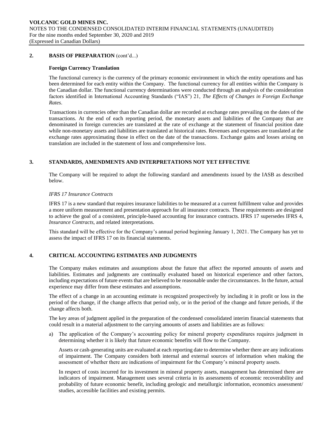## **2. BASIS OF PREPARATION** (cont'd...)

#### **Foreign Currency Translation**

The functional currency is the currency of the primary economic environment in which the entity operations and has been determined for each entity within the Company. The functional currency for all entities within the Company is the Canadian dollar. The functional currency determinations were conducted through an analysis of the consideration factors identified in International Accounting Standards ("IAS") 21, *The Effects of Changes in Foreign Exchange Rates*.

Transactions in currencies other than the Canadian dollar are recorded at exchange rates prevailing on the dates of the transactions. At the end of each reporting period, the monetary assets and liabilities of the Company that are denominated in foreign currencies are translated at the rate of exchange at the statement of financial position date while non-monetary assets and liabilities are translated at historical rates. Revenues and expenses are translated at the exchange rates approximating those in effect on the date of the transactions. Exchange gains and losses arising on translation are included in the statement of loss and comprehensive loss.

## **3. STANDARDS, AMENDMENTS AND INTERPRETATIONS NOT YET EFFECTIVE**

The Company will be required to adopt the following standard and amendments issued by the IASB as described below.

#### *IFRS 17 Insurance Contracts*

IFRS 17 is a new standard that requires insurance liabilities to be measured at a current fulfillment value and provides a more uniform measurement and presentation approach for all insurance contracts. These requirements are designed to achieve the goal of a consistent, principle-based accounting for insurance contracts. IFRS 17 supersedes IFRS 4, *Insurance Contracts*, and related interpretations.

This standard will be effective for the Company's annual period beginning January 1, 2021. The Company has yet to assess the impact of IFRS 17 on its financial statements.

# **4. CRITICAL ACCOUNTING ESTIMATES AND JUDGMENTS**

The Company makes estimates and assumptions about the future that affect the reported amounts of assets and liabilities. Estimates and judgments are continually evaluated based on historical experience and other factors, including expectations of future events that are believed to be reasonable under the circumstances. In the future, actual experience may differ from these estimates and assumptions.

The effect of a change in an accounting estimate is recognized prospectively by including it in profit or loss in the period of the change, if the change affects that period only, or in the period of the change and future periods, if the change affects both.

The key areas of judgment applied in the preparation of the condensed consolidated interim financial statements that could result in a material adjustment to the carrying amounts of assets and liabilities are as follows:

a) The application of the Company's accounting policy for mineral property expenditures requires judgment in determining whether it is likely that future economic benefits will flow to the Company.

Assets or cash-generating units are evaluated at each reporting date to determine whether there are any indications of impairment. The Company considers both internal and external sources of information when making the assessment of whether there are indications of impairment for the Company's mineral property assets.

In respect of costs incurred for its investment in mineral property assets, management has determined there are indicators of impairment. Management uses several criteria in its assessments of economic recoverability and probability of future economic benefit, including geologic and metallurgic information, economics assessment/ studies, accessible facilities and existing permits.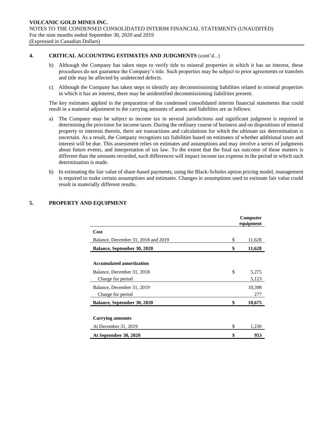## **4. CRITICAL ACCOUNTING ESTIMATES AND JUDGMENTS** (cont'd...)

- b) Although the Company has taken steps to verify title to mineral properties in which it has an interest, these procedures do not guarantee the Company's title. Such properties may be subject to prior agreements or transfers and title may be affected by undetected defects.
- c) Although the Company has taken steps to identify any decommissioning liabilities related to mineral properties in which it has an interest, there may be unidentified decommissioning liabilities present.

The key estimates applied in the preparation of the condensed consolidated interim financial statements that could result in a material adjustment to the carrying amounts of assets and liabilities are as follows:

- a) The Company may be subject to income tax in several jurisdictions and significant judgment is required in determining the provision for income taxes. During the ordinary course of business and on dispositions of mineral property or interests therein, there are transactions and calculations for which the ultimate tax determination is uncertain. As a result, the Company recognizes tax liabilities based on estimates of whether additional taxes and interest will be due. This assessment relies on estimates and assumptions and may involve a series of judgments about future events, and interpretation of tax law. To the extent that the final tax outcome of these matters is different than the amounts recorded, such differences will impact income tax expense in the period in which such determination is made.
- b) In estimating the fair value of share-based payments, using the Black-Scholes option pricing model, management is required to make certain assumptions and estimates. Changes in assumptions used to estimate fair value could result in materially different results.

|                                     | Computer<br>equipment |
|-------------------------------------|-----------------------|
| Cost                                |                       |
| Balance, December 31, 2018 and 2019 | \$<br>11,628          |
| <b>Balance, September 30, 2020</b>  | \$<br>11,628          |
| <b>Accumulated amortization</b>     |                       |
| Balance, December 31, 2018          | \$<br>5,275           |
| Charge for period                   | 5,123                 |
| Balance, December 31, 2019          | 10,398                |
| Charge for period                   | 277                   |
| Balance, September 30, 2020         | \$<br>10,675          |
|                                     |                       |
| <b>Carrying amounts</b>             |                       |
| At December 31, 2019                | \$<br>1,230           |
| At September 30, 2020               | \$<br>953             |

# **5. PROPERTY AND EQUIPMENT**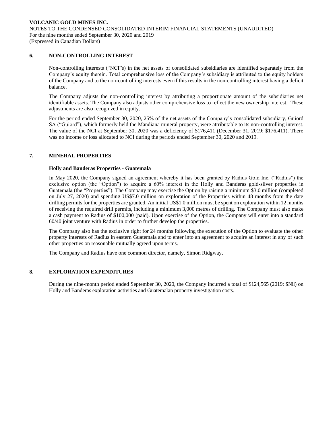### **6. NON-CONTROLLING INTEREST**

Non-controlling interests ("NCI"s) in the net assets of consolidated subsidiaries are identified separately from the Company's equity therein. Total comprehensive loss of the Company's subsidiary is attributed to the equity holders of the Company and to the non-controlling interests even if this results in the non-controlling interest having a deficit balance.

The Company adjusts the non-controlling interest by attributing a proportionate amount of the subsidiaries net identifiable assets. The Company also adjusts other comprehensive loss to reflect the new ownership interest. These adjustments are also recognized in equity.

For the period ended September 30, 2020, 25% of the net assets of the Company's consolidated subsidiary, Guiord SA ("Guiord"), which formerly held the Mandiana mineral property, were attributable to its non-controlling interest. The value of the NCI at September 30, 2020 was a deficiency of \$176,411 (December 31, 2019: \$176,411). There was no income or loss allocated to NCI during the periods ended September 30, 2020 and 2019.

## **7. MINERAL PROPERTIES**

## **Holly and Banderas Properties - Guatemala**

In May 2020, the Company signed an agreement whereby it has been granted by Radius Gold Inc. ("Radius") the exclusive option (the "Option") to acquire a 60% interest in the Holly and Banderas gold-silver properties in Guatemala (the "Properties"). The Company may exercise the Option by raising a minimum \$3.0 million (completed on July 27, 2020) and spending US\$7.0 million on exploration of the Properties within 48 months from the date drilling permits for the properties are granted. An initial US\$1.0 million must be spent on exploration within 12 months of receiving the required drill permits, including a minimum 3,000 metres of drilling. The Company must also make a cash payment to Radius of \$100,000 (paid). Upon exercise of the Option, the Company will enter into a standard 60/40 joint venture with Radius in order to further develop the properties.

The Company also has the exclusive right for 24 months following the execution of the Option to evaluate the other property interests of Radius in eastern Guatemala and to enter into an agreement to acquire an interest in any of such other properties on reasonable mutually agreed upon terms.

The Company and Radius have one common director, namely, Simon Ridgway.

# **8. EXPLORATION EXPENDITURES**

During the nine-month period ended September 30, 2020, the Company incurred a total of \$124,565 (2019: \$Nil) on Holly and Banderas exploration activities and Guatemalan property investigation costs.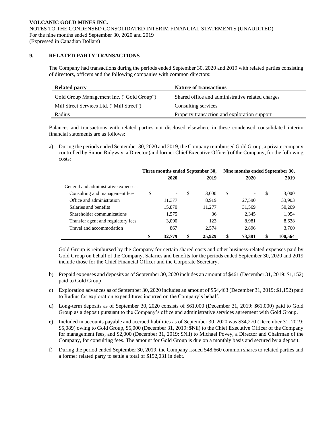# **9. RELATED PARTY TRANSACTIONS**

The Company had transactions during the periods ended September 30, 2020 and 2019 with related parties consisting of directors, officers and the following companies with common directors:

| <b>Related party</b>                      | <b>Nature of transactions</b>                    |
|-------------------------------------------|--------------------------------------------------|
| Gold Group Management Inc. ("Gold Group") | Shared office and administrative related charges |
| Mill Street Services Ltd. ("Mill Street") | Consulting services                              |
| Radius                                    | Property transaction and exploration support     |

Balances and transactions with related parties not disclosed elsewhere in these condensed consolidated interim financial statements are as follows:

a) During the periods ended September 30, 2020 and 2019, the Company reimbursed Gold Group, a private company controlled by Simon Ridgway, a Director (and former Chief Executive Officer) of the Company, for the following costs:

|                                      | Three months ended September 30, |                          |               |        | Nine months ended September 30, |        |    |         |
|--------------------------------------|----------------------------------|--------------------------|---------------|--------|---------------------------------|--------|----|---------|
|                                      |                                  | 2020                     |               | 2019   | 2020                            |        |    | 2019    |
| General and administrative expenses: |                                  |                          |               |        |                                 |        |    |         |
| Consulting and management fees       | \$                               | $\overline{\phantom{a}}$ | <sup>\$</sup> | 3.000  | \$                              |        | S  | 3,000   |
| Office and administration            |                                  | 11,377                   |               | 8.919  |                                 | 27,590 |    | 33,903  |
| Salaries and benefits                |                                  | 15,870                   |               | 11,277 |                                 | 31,569 |    | 50,209  |
| Shareholder communications           |                                  | 1,575                    |               | 36     |                                 | 2,345  |    | 1,054   |
| Transfer agent and regulatory fees   |                                  | 3,090                    |               | 123    |                                 | 8,981  |    | 8,638   |
| Travel and accommodation             |                                  | 867                      |               | 2.574  |                                 | 2.896  |    | 3,760   |
|                                      | \$                               | 32,779                   | \$            | 25,929 | \$                              | 73,381 | \$ | 100,564 |

Gold Group is reimbursed by the Company for certain shared costs and other business-related expenses paid by Gold Group on behalf of the Company. Salaries and benefits for the periods ended September 30, 2020 and 2019 include those for the Chief Financial Officer and the Corporate Secretary.

- b) Prepaid expenses and deposits as of September 30, 2020 includes an amount of \$461 (December 31, 2019: \$1,152) paid to Gold Group.
- c) Exploration advances as of September 30, 2020 includes an amount of \$54,463 (December 31, 2019: \$1,152) paid to Radius for exploration expenditures incurred on the Company's behalf.
- d) Long-term deposits as of September 30, 2020 consists of \$61,000 (December 31, 2019: \$61,000) paid to Gold Group as a deposit pursuant to the Company's office and administrative services agreement with Gold Group.
- e) Included in accounts payable and accrued liabilities as of September 30, 2020 was \$34,270 (December 31, 2019: \$5,089) owing to Gold Group, \$5,000 (December 31, 2019: \$Nil) to the Chief Executive Officer of the Company for management fees, and \$2,000 (December 31, 2019: \$Nil) to Michael Povey, a Director and Chairman of the Company, for consulting fees. The amount for Gold Group is due on a monthly basis and secured by a deposit.
- f) During the period ended September 30, 2019, the Company issued 548,660 common shares to related parties and a former related party to settle a total of \$192,031 in debt.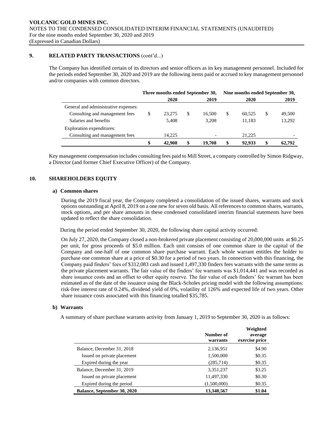## **9. RELATED PARTY TRANSACTIONS** (cont'd...)

The Company has identified certain of its directors and senior officers as its key management personnel. Included for the periods ended September 30, 2020 and 2019 are the following items paid or accrued to key management personnel and/or companies with common directors.

|                                      | Three months ended September 30, |        |    |        | Nine months ended September 30, |        |   |        |
|--------------------------------------|----------------------------------|--------|----|--------|---------------------------------|--------|---|--------|
|                                      |                                  | 2020   |    | 2019   |                                 | 2020   |   | 2019   |
| General and administrative expenses: |                                  |        |    |        |                                 |        |   |        |
| Consulting and management fees       | S                                | 23,275 | \$ | 16.500 | \$                              | 60.525 | S | 49,500 |
| Salaries and benefits                |                                  | 5.408  |    | 3.208  |                                 | 11.183 |   | 13,292 |
| Exploration expenditures:            |                                  |        |    |        |                                 |        |   |        |
| Consulting and management fees       |                                  | 14.225 |    |        |                                 | 21,225 |   |        |
|                                      |                                  | 42,908 |    | 19,708 | \$                              | 92,933 |   | 62,792 |

Key management compensation includes consulting fees paid to Mill Street, a company controlled by Simon Ridgway, a Director (and former Chief Executive Officer) of the Company.

## **10. SHAREHOLDERS EQUITY**

#### **a) Common shares**

During the 2019 fiscal year, the Company completed a consolidation of the issued shares, warrants and stock options outstanding at April 8, 2019 on a one new for seven old basis. All references to common shares, warrants, stock options, and per share amounts in these condensed consolidated interim financial statements have been updated to reflect the share consolidation.

During the period ended September 30, 2020, the following share capital activity occurred:

On July 27, 2020, the Company closed a non-brokered private placement consisting of 20,000,000 units at \$0.25 per unit, for gross proceeds of \$5.0 million. Each unit consists of one common share in the capital of the Company and one-half of one common share purchase warrant. Each whole warrant entitles the holder to purchase one common share at a price of \$0.30 for a period of two years. In connection with this financing, the Company paid finders' fees of \$312,083 cash and issued 1,497,330 finders fees warrants with the same terms as the private placement warrants. The fair value of the finders' fee warrants was \$1,014,441 and was recorded as share issuance costs and an offset to other equity reserve. The fair value of each finders' fee warrant has been estimated as of the date of the issuance using the Black-Scholes pricing model with the following assumptions: risk-free interest rate of 0.24%, dividend yield of 0%, volatility of 126% and expected life of two years. Other share issuance costs associated with this financing totalled \$35,785.

#### **b) Warrants**

A summary of share purchase warrants activity from January 1, 2019 to September 30, 2020 is as follows:

|                                    | Number of<br>warrants | Weighted<br>average<br>exercise price |
|------------------------------------|-----------------------|---------------------------------------|
| Balance, December 31, 2018         | 2,136,951             | \$4.90                                |
| Issued on private placement        | 1,500,000             | \$0.35                                |
| Expired during the year            | (285,714)             | \$0.35                                |
| Balance, December 31, 2019         | 3,351,237             | \$3.25                                |
| Issued on private placement        | 11,497,330            | \$0.30                                |
| Expired during the period          | (1,500,000)           | \$0.35                                |
| <b>Balance, September 30, 2020</b> | 13.348.567            | \$1.04                                |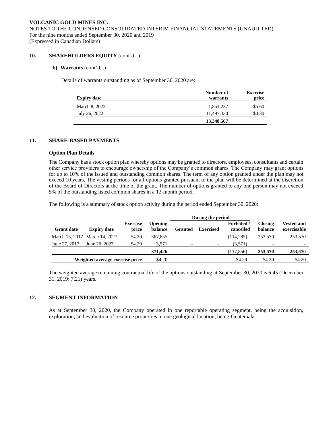### **10. SHAREHOLDERS EQUITY** (cont'd...)

### **b) Warrants** (cont'd...)

Details of warrants outstanding as of September 30, 2020 are:

| <b>Expiry date</b> | Number of<br>warrants | <b>Exercise</b><br>price |
|--------------------|-----------------------|--------------------------|
| March 8, 2022      | 1,851,237             | \$5.60                   |
| July 26, 2022      | 11.497.330            | \$0.30                   |
|                    | 13,348,567            |                          |

## **11. SHARE-BASED PAYMENTS**

#### **Option Plan Details**

The Company has a stock option plan whereby options may be granted to directors, employees, consultants and certain other service providers to encourage ownership of the Company's common shares. The Company may grant options for up to 10% of the issued and outstanding common shares. The term of any option granted under the plan may not exceed 10 years. The vesting periods for all options granted pursuant to the plan will be determined at the discretion of the Board of Directors at the time of the grant. The number of options granted to any one person may not exceed 5% of the outstanding listed common shares in a 12-month period.

The following is a summary of stock option activity during the period ended September 30, 2020:

|                   |                                 |                          |                           | During the period |                          |                                 |                           |                                  |
|-------------------|---------------------------------|--------------------------|---------------------------|-------------------|--------------------------|---------------------------------|---------------------------|----------------------------------|
| <b>Grant date</b> | <b>Expiry date</b>              | <b>Exercise</b><br>price | <b>Opening</b><br>balance | <b>Granted</b>    | <b>Exercised</b>         | <b>Forfeited</b> /<br>cancelled | <b>Closing</b><br>balance | <b>Vested and</b><br>exercisable |
|                   | March 15, 2017 March 14, 2027   | \$4.20                   | 367,855                   |                   |                          | (114, 285)                      | 253,570                   | 253,570                          |
| June 27, 2017     | June 26, 2027                   | \$4.20                   | 3.571                     |                   | $\overline{\phantom{a}}$ | (3,571)                         |                           |                                  |
|                   |                                 |                          | 371,426                   |                   | ۰                        | (117.856)                       | 253,570                   | 253,570                          |
|                   | Weighted average exercise price |                          | \$4.20                    |                   | $\overline{\phantom{a}}$ | \$4.20                          | \$4.20                    | \$4.20                           |

The weighted average remaining contractual life of the options outstanding at September 30, 2020 is 6.45 (December 31, 2019: 7.21) years.

#### **12. SEGMENT INFORMATION**

As at September 30, 2020, the Company operated in one reportable operating segment, being the acquisition, exploration, and evaluation of resource properties in one geological location, being Guatemala.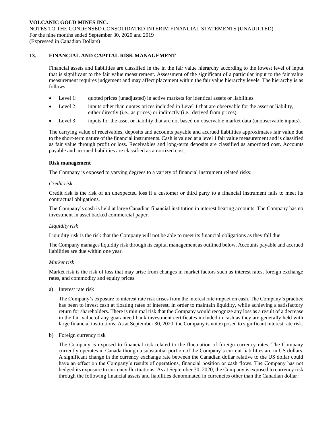## **13. FINANCIAL AND CAPITAL RISK MANAGEMENT**

Financial assets and liabilities are classified in the in the fair value hierarchy according to the lowest level of input that is significant to the fair value measurement. Assessment of the significant of a particular input to the fair value measurement requires judgement and may affect placement within the fair value hierarchy levels. The hierarchy is as follows:

- Level 1: quoted prices (unadjusted) in active markets for identical assets or liabilities.
- Level 2: inputs other than quotes prices included in Level 1 that are observable for the asset or liability, either directly (i.e., as prices) or indirectly (i.e., derived from prices).
- Level 3: inputs for the asset or liability that are not based on observable market data (unobservable inputs).

The carrying value of receivables, deposits and accounts payable and accrued liabilities approximates fair value due to the short-term nature of the financial instruments. Cash is valued at a level 1 fair value measurement and is classified as fair value through profit or loss. Receivables and long-term deposits are classified as amortized cost. Accounts payable and accrued liabilities are classified as amortized cost.

#### **Risk management**

The Company is exposed to varying degrees to a variety of financial instrument related risks:

#### *Credit risk*

Credit risk is the risk of an unexpected loss if a customer or third party to a financial instrument fails to meet its contractual obligations.

The Company's cash is held at large Canadian financial institution in interest bearing accounts. The Company has no investment in asset backed commercial paper.

#### *Liquidity risk*

Liquidity risk is the risk that the Company will not be able to meet its financial obligations as they fall due.

The Company manages liquidity risk through its capital management as outlined below. Accounts payable and accrued liabilities are due within one year.

### *Market risk*

Market risk is the risk of loss that may arise from changes in market factors such as interest rates, foreign exchange rates, and commodity and equity prices.

a) Interest rate risk

The Company's exposure to interest rate risk arises from the interest rate impact on cash. The Company's practice has been to invest cash at floating rates of interest, in order to maintain liquidity, while achieving a satisfactory return for shareholders. There is minimal risk that the Company would recognize any loss as a result of a decrease in the fair value of any guaranteed bank investment certificates included in cash as they are generally held with large financial institutions. As at September 30, 2020, the Company is not exposed to significant interest rate risk.

b) Foreign currency risk

The Company is exposed to financial risk related to the fluctuation of foreign currency rates. The Company currently operates in Canada though a substantial portion of the Company's current liabilities are in US dollars. A significant change in the currency exchange rate between the Canadian dollar relative to the US dollar could have an effect on the Company's results of operations, financial position or cash flows. The Company has not hedged its exposure to currency fluctuations. As at September 30, 2020, the Company is exposed to currency risk through the following financial assets and liabilities denominated in currencies other than the Canadian dollar: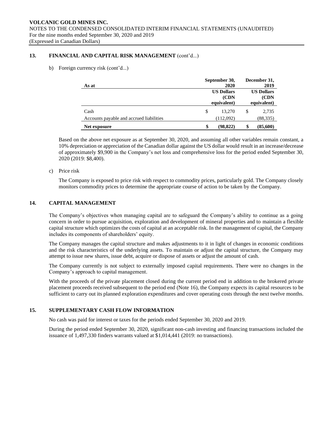## **13. FINANCIAL AND CAPITAL RISK MANAGEMENT** (cont'd...)

b) Foreign currency risk (cont'd...)

| As at                                    | September 30,<br>2020                     |    | December 31,<br>2019                     |  |
|------------------------------------------|-------------------------------------------|----|------------------------------------------|--|
|                                          | <b>US Dollars</b><br>(CDN)<br>equivalent) |    | <b>US Dollars</b><br>(CDN<br>equivalent) |  |
| Cash                                     | \$<br>13.270                              | \$ | 2,735                                    |  |
| Accounts payable and accrued liabilities | (112,092)                                 |    | (88, 335)                                |  |
| Net exposure                             | \$<br>(98, 822)                           |    | (85,600)                                 |  |

Based on the above net exposure as at September 30, 2020, and assuming all other variables remain constant, a 10% depreciation or appreciation of the Canadian dollar against the US dollar would result in an increase/decrease of approximately \$9,900 in the Company's net loss and comprehensive loss for the period ended September 30, 2020 (2019: \$8,400).

#### c) Price risk

The Company is exposed to price risk with respect to commodity prices, particularly gold. The Company closely monitors commodity prices to determine the appropriate course of action to be taken by the Company.

# **14. CAPITAL MANAGEMENT**

The Company's objectives when managing capital are to safeguard the Company's ability to continue as a going concern in order to pursue acquisition, exploration and development of mineral properties and to maintain a flexible capital structure which optimizes the costs of capital at an acceptable risk. In the management of capital, the Company includes its components of shareholders' equity.

The Company manages the capital structure and makes adjustments to it in light of changes in economic conditions and the risk characteristics of the underlying assets. To maintain or adjust the capital structure, the Company may attempt to issue new shares, issue debt, acquire or dispose of assets or adjust the amount of cash.

The Company currently is not subject to externally imposed capital requirements. There were no changes in the Company's approach to capital management.

With the proceeds of the private placement closed during the current period end in addition to the brokered private placement proceeds received subsequent to the period end (Note 16), the Company expects its capital resources to be sufficient to carry out its planned exploration expenditures and cover operating costs through the next twelve months.

# **15. SUPPLEMENTARY CASH FLOW INFORMATION**

No cash was paid for interest or taxes for the periods ended September 30, 2020 and 2019.

During the period ended September 30, 2020, significant non-cash investing and financing transactions included the issuance of 1,497,330 finders warrants valued at \$1,014,441 (2019: no transactions).